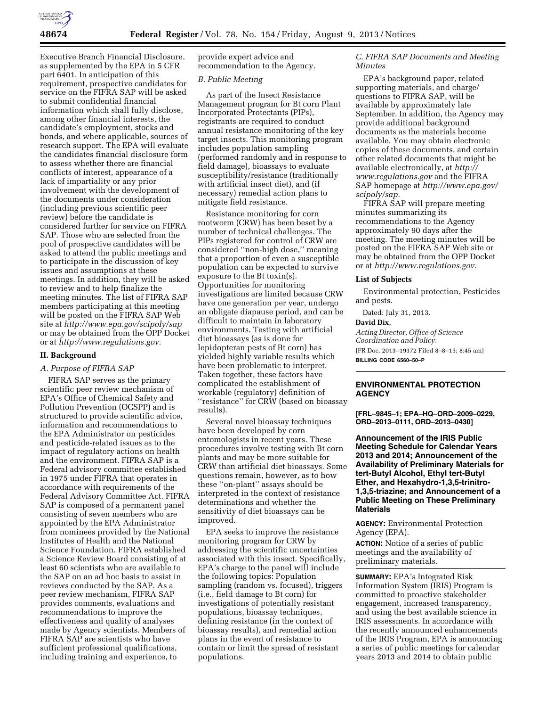

Executive Branch Financial Disclosure, as supplemented by the EPA in 5 CFR part 6401. In anticipation of this requirement, prospective candidates for service on the FIFRA SAP will be asked to submit confidential financial information which shall fully disclose, among other financial interests, the candidate's employment, stocks and bonds, and where applicable, sources of research support. The EPA will evaluate the candidates financial disclosure form to assess whether there are financial conflicts of interest, appearance of a lack of impartiality or any prior involvement with the development of the documents under consideration (including previous scientific peer review) before the candidate is considered further for service on FIFRA SAP. Those who are selected from the pool of prospective candidates will be asked to attend the public meetings and to participate in the discussion of key issues and assumptions at these meetings. In addition, they will be asked to review and to help finalize the meeting minutes. The list of FIFRA SAP members participating at this meeting will be posted on the FIFRA SAP Web site at *<http://www.epa.gov/scipoly/sap>* or may be obtained from the OPP Docket or at *[http://www.regulations.gov.](http://www.regulations.gov)* 

#### **II. Background**

## *A. Purpose of FIFRA SAP*

FIFRA SAP serves as the primary scientific peer review mechanism of EPA's Office of Chemical Safety and Pollution Prevention (OCSPP) and is structured to provide scientific advice, information and recommendations to the EPA Administrator on pesticides and pesticide-related issues as to the impact of regulatory actions on health and the environment. FIFRA SAP is a Federal advisory committee established in 1975 under FIFRA that operates in accordance with requirements of the Federal Advisory Committee Act. FIFRA SAP is composed of a permanent panel consisting of seven members who are appointed by the EPA Administrator from nominees provided by the National Institutes of Health and the National Science Foundation. FIFRA established a Science Review Board consisting of at least 60 scientists who are available to the SAP on an ad hoc basis to assist in reviews conducted by the SAP. As a peer review mechanism, FIFRA SAP provides comments, evaluations and recommendations to improve the effectiveness and quality of analyses made by Agency scientists. Members of FIFRA SAP are scientists who have sufficient professional qualifications, including training and experience, to

provide expert advice and recommendation to the Agency.

#### *B. Public Meeting*

As part of the Insect Resistance Management program for Bt corn Plant Incorporated Protectants (PIPs), registrants are required to conduct annual resistance monitoring of the key target insects. This monitoring program includes population sampling (performed randomly and in response to field damage), bioassays to evaluate susceptibility/resistance (traditionally with artificial insect diet), and (if necessary) remedial action plans to mitigate field resistance.

Resistance monitoring for corn rootworm (CRW) has been beset by a number of technical challenges. The PIPs registered for control of CRW are considered ''non-high dose,'' meaning that a proportion of even a susceptible population can be expected to survive exposure to the Bt toxin(s). Opportunities for monitoring investigations are limited because CRW have one generation per year, undergo an obligate diapause period, and can be difficult to maintain in laboratory environments. Testing with artificial diet bioassays (as is done for lepidopteran pests of Bt corn) has yielded highly variable results which have been problematic to interpret. Taken together, these factors have complicated the establishment of workable (regulatory) definition of ''resistance'' for CRW (based on bioassay results).

Several novel bioassay techniques have been developed by corn entomologists in recent years. These procedures involve testing with Bt corn plants and may be more suitable for CRW than artificial diet bioassays. Some questions remain, however, as to how these ''on-plant'' assays should be interpreted in the context of resistance determinations and whether the sensitivity of diet bioassays can be improved.

EPA seeks to improve the resistance monitoring program for CRW by addressing the scientific uncertainties associated with this insect. Specifically, EPA's charge to the panel will include the following topics: Population sampling (random vs. focused), triggers (i.e., field damage to Bt corn) for investigations of potentially resistant populations, bioassay techniques, defining resistance (in the context of bioassay results), and remedial action plans in the event of resistance to contain or limit the spread of resistant populations.

*C. FIFRA SAP Documents and Meeting Minutes* 

EPA's background paper, related supporting materials, and charge/ questions to FIFRA SAP, will be available by approximately late September. In addition, the Agency may provide additional background documents as the materials become available. You may obtain electronic copies of these documents, and certain other related documents that might be available electronically, at *[http://](http://www.regulations.gov) [www.regulations.gov](http://www.regulations.gov)* and the FIFRA SAP homepage at *[http://www.epa.gov/](http://www.epa.gov/scipoly/sap)  [scipoly/sap.](http://www.epa.gov/scipoly/sap)* 

FIFRA SAP will prepare meeting minutes summarizing its recommendations to the Agency approximately 90 days after the meeting. The meeting minutes will be posted on the FIFRA SAP Web site or may be obtained from the OPP Docket or at *[http://www.regulations.gov.](http://www.regulations.gov)* 

#### **List of Subjects**

Environmental protection, Pesticides and pests.

Dated: July 31, 2013.

#### **David Dix,**

*Acting Director, Office of Science Coordination and Policy.*  [FR Doc. 2013–19372 Filed 8–8–13; 8:45 am] **BILLING CODE 6560–50–P** 

# **ENVIRONMENTAL PROTECTION AGENCY**

**[FRL–9845–1; EPA–HQ–ORD–2009–0229, ORD–2013–0111, ORD–2013–0430]** 

**Announcement of the IRIS Public Meeting Schedule for Calendar Years 2013 and 2014; Announcement of the Availability of Preliminary Materials for tert-Butyl Alcohol, Ethyl tert-Butyl Ether, and Hexahydro-1,3,5-trinitro-1,3,5-triazine; and Announcement of a Public Meeting on These Preliminary Materials** 

**AGENCY:** Environmental Protection Agency (EPA).

**ACTION:** Notice of a series of public meetings and the availability of preliminary materials.

**SUMMARY:** EPA's Integrated Risk Information System (IRIS) Program is committed to proactive stakeholder engagement, increased transparency, and using the best available science in IRIS assessments. In accordance with the recently announced enhancements of the IRIS Program, EPA is announcing a series of public meetings for calendar years 2013 and 2014 to obtain public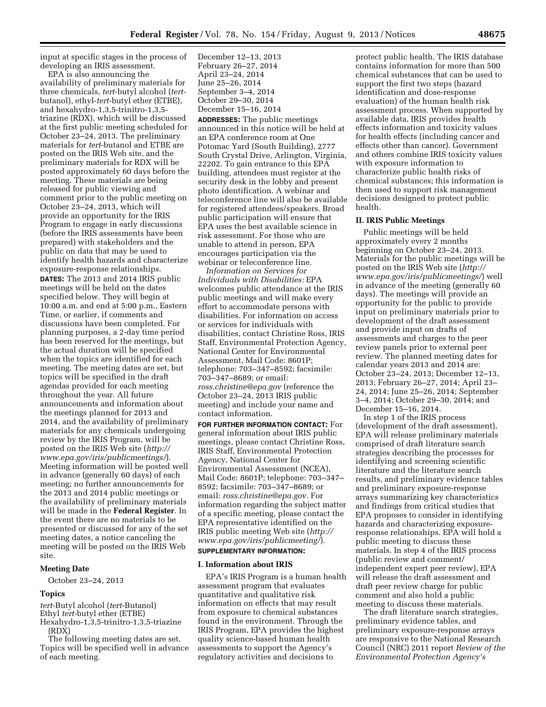input at specific stages in the process of developing an IRIS assessment.

EPA is also announcing the availability of preliminary materials for three chemicals, *tert*-butyl alcohol (*tert*butanol), ethyl-*tert*-butyl ether (ETBE), and hexahydro-1,3,5-trinitro-1,3,5 triazine (RDX), which will be discussed at the first public meeting scheduled for October 23–24, 2013. The preliminary materials for *tert*-butanol and ETBE are posted on the IRIS Web site, and the preliminary materials for RDX will be posted approximately 60 days before the meeting. These materials are being released for public viewing and comment prior to the public meeting on October 23–24, 2013, which will provide an opportunity for the IRIS Program to engage in early discussions (before the IRIS assessments have been prepared) with stakeholders and the public on data that may be used to identify health hazards and characterize exposure-response relationships. **DATES:** The 2013 and 2014 IRIS public meetings will be held on the dates specified below. They will begin at 10:00 a.m. and end at 5:00 p.m., Eastern Time, or earlier, if comments and discussions have been completed. For planning purposes, a 2-day time period has been reserved for the meetings, but the actual duration will be specified when the topics are identified for each meeting. The meeting dates are set, but topics will be specified in the draft agendas provided for each meeting throughout the year. All future announcements and information about the meetings planned for 2013 and 2014, and the availability of preliminary materials for any chemicals undergoing review by the IRIS Program, will be posted on the IRIS Web site (*[http://](http://www.epa.gov/iris/publicmeetings/)  [www.epa.gov/iris/publicmeetings/](http://www.epa.gov/iris/publicmeetings/)*). Meeting information will be posted well in advance (generally 60 days) of each meeting; no further announcements for the 2013 and 2014 public meetings or the availability of preliminary materials will be made in the **Federal Register**. In the event there are no materials to be presented or discussed for any of the set meeting dates, a notice canceling the meeting will be posted on the IRIS Web site.

## **Meeting Date**

October 23–24, 2013

#### **Topics**

*tert*-Butyl alcohol (*tert*-Butanol) Ethyl *tert*-butyl ether (ETBE) Hexahydro-1,3,5-trinitro-1,3,5-triazine (RDX)

The following meeting dates are set. Topics will be specified well in advance of each meeting.

December 12–13, 2013 February 26–27, 2014 April 23–24, 2014 June 25–26, 2014 September 3–4, 2014 October 29–30, 2014 December 15–16, 2014

**ADDRESSES:** The public meetings announced in this notice will be held at an EPA conference room at One Potomac Yard (South Building), 2777 South Crystal Drive, Arlington, Virginia, 22202. To gain entrance to this EPA building, attendees must register at the security desk in the lobby and present photo identification. A webinar and teleconference line will also be available for registered attendees/speakers. Broad public participation will ensure that EPA uses the best available science in risk assessment. For those who are unable to attend in person, EPA encourages participation via the webinar or teleconference line.

*Information on Services for Individuals with Disabilities:* EPA welcomes public attendance at the IRIS public meetings and will make every effort to accommodate persons with disabilities. For information on access or services for individuals with disabilities, contact Christine Ross, IRIS Staff, Environmental Protection Agency, National Center for Environmental Assessment, Mail Code: 8601P; telephone: 703–347–8592; facsimile: 703–347–8689; or email: *[ross.christine@epa.gov](mailto:ross.christine@epa.gov)* (reference the October 23–24, 2013 IRIS public meeting) and include your name and contact information.

**FOR FURTHER INFORMATION CONTACT:** For general information about IRIS public meetings, please contact Christine Ross, IRIS Staff, Environmental Protection Agency, National Center for Environmental Assessment (NCEA), Mail Code: 8601P; telephone: 703–347– 8592; facsimile: 703–347–8689; or email: *[ross.christine@epa.gov.](mailto:ross.christine@epa.gov)* For information regarding the subject matter of a specific meeting, please contact the EPA representative identified on the IRIS public meeting Web site (*[http://](http://www.epa.gov/iris/publicmeeting/)  [www.epa.gov/iris/publicmeeting/](http://www.epa.gov/iris/publicmeeting/)*).

# **SUPPLEMENTARY INFORMATION:**

#### **I. Information about IRIS**

EPA's IRIS Program is a human health assessment program that evaluates quantitative and qualitative risk information on effects that may result from exposure to chemical substances found in the environment. Through the IRIS Program, EPA provides the highest quality science-based human health assessments to support the Agency's regulatory activities and decisions to

protect public health. The IRIS database contains information for more than 500 chemical substances that can be used to support the first two steps (hazard identification and dose-response evaluation) of the human health risk assessment process. When supported by available data, IRIS provides health effects information and toxicity values for health effects (including cancer and effects other than cancer). Government and others combine IRIS toxicity values with exposure information to characterize public health risks of chemical substances; this information is then used to support risk management decisions designed to protect public health.

#### **II. IRIS Public Meetings**

Public meetings will be held approximately every 2 months beginning on October 23–24, 2013. Materials for the public meetings will be posted on the IRIS Web site (*[http://](http://www.epa.gov/iris/publicmeetings/)  [www.epa.gov/iris/publicmeetings/](http://www.epa.gov/iris/publicmeetings/)*) well in advance of the meeting (generally 60 days). The meetings will provide an opportunity for the public to provide input on preliminary materials prior to development of the draft assessment and provide input on drafts of assessments and charges to the peer review panels prior to external peer review. The planned meeting dates for calendar years 2013 and 2014 are: October 23–24, 2013; December 12–13, 2013; February 26–27, 2014; April 23– 24, 2014; June 25–26, 2014; September 3–4, 2014; October 29–30, 2014; and December 15–16, 2014.

In step 1 of the IRIS process (development of the draft assessment), EPA will release preliminary materials comprised of draft literature search strategies describing the processes for identifying and screening scientific literature and the literature search results, and preliminary evidence tables and preliminary exposure-response arrays summarizing key characteristics and findings from critical studies that EPA proposes to consider in identifying hazards and characterizing exposureresponse relationships. EPA will hold a public meeting to discuss these materials. In step 4 of the IRIS process (public review and comment/ independent expert peer review), EPA will release the draft assessment and draft peer review charge for public comment and also hold a public meeting to discuss these materials.

The draft literature search strategies, preliminary evidence tables, and preliminary exposure-response arrays are responsive to the National Research Council (NRC) 2011 report *Review of the Environmental Protection Agency's*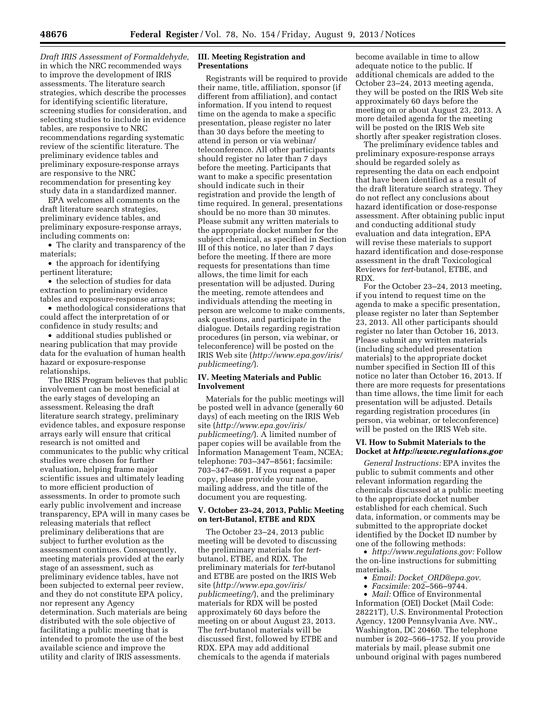*Draft IRIS Assessment of Formaldehyde,*  in which the NRC recommended ways to improve the development of IRIS assessments. The literature search strategies, which describe the processes for identifying scientific literature, screening studies for consideration, and selecting studies to include in evidence tables, are responsive to NRC recommendations regarding systematic review of the scientific literature. The preliminary evidence tables and preliminary exposure-response arrays are responsive to the NRC recommendation for presenting key study data in a standardized manner.

EPA welcomes all comments on the draft literature search strategies, preliminary evidence tables, and preliminary exposure-response arrays, including comments on:

• The clarity and transparency of the materials;

• the approach for identifying pertinent literature;

• the selection of studies for data extraction to preliminary evidence tables and exposure-response arrays;

• methodological considerations that could affect the interpretation of or confidence in study results; and

• additional studies published or nearing publication that may provide data for the evaluation of human health hazard or exposure-response relationships.

The IRIS Program believes that public involvement can be most beneficial at the early stages of developing an assessment. Releasing the draft literature search strategy, preliminary evidence tables, and exposure response arrays early will ensure that critical research is not omitted and communicates to the public why critical studies were chosen for further evaluation, helping frame major scientific issues and ultimately leading to more efficient production of assessments. In order to promote such early public involvement and increase transparency, EPA will in many cases be releasing materials that reflect preliminary deliberations that are subject to further evolution as the assessment continues. Consequently, meeting materials provided at the early stage of an assessment, such as preliminary evidence tables, have not been subjected to external peer review, and they do not constitute EPA policy, nor represent any Agency determination. Such materials are being distributed with the sole objective of facilitating a public meeting that is intended to promote the use of the best available science and improve the utility and clarity of IRIS assessments.

## **III. Meeting Registration and Presentations**

Registrants will be required to provide their name, title, affiliation, sponsor (if different from affiliation), and contact information. If you intend to request time on the agenda to make a specific presentation, please register no later than 30 days before the meeting to attend in person or via webinar/ teleconference. All other participants should register no later than 7 days before the meeting. Participants that want to make a specific presentation should indicate such in their registration and provide the length of time required. In general, presentations should be no more than 30 minutes. Please submit any written materials to the appropriate docket number for the subject chemical, as specified in Section III of this notice, no later than 7 days before the meeting. If there are more requests for presentations than time allows, the time limit for each presentation will be adjusted. During the meeting, remote attendees and individuals attending the meeting in person are welcome to make comments, ask questions, and participate in the dialogue. Details regarding registration procedures (in person, via webinar, or teleconference) will be posted on the IRIS Web site (*[http://www.epa.gov/iris/](http://www.epa.gov/iris/publicmeeting/) [publicmeeting/](http://www.epa.gov/iris/publicmeeting/)*).

## **IV. Meeting Materials and Public Involvement**

Materials for the public meetings will be posted well in advance (generally 60 days) of each meeting on the IRIS Web site (*[http://www.epa.gov/iris/](http://www.epa.gov/iris/publicmeeting/) [publicmeeting/](http://www.epa.gov/iris/publicmeeting/)*). A limited number of paper copies will be available from the Information Management Team, NCEA; telephone: 703–347–8561; facsimile: 703–347–8691. If you request a paper copy, please provide your name, mailing address, and the title of the document you are requesting.

#### **V. October 23–24, 2013, Public Meeting on tert-Butanol, ETBE and RDX**

The October 23–24, 2013 public meeting will be devoted to discussing the preliminary materials for *tert*butanol, ETBE, and RDX. The preliminary materials for *tert*-butanol and ETBE are posted on the IRIS Web site (*[http://www.epa.gov/iris/](http://www.epa.gov/iris/publicmeeting/) [publicmeeting/](http://www.epa.gov/iris/publicmeeting/)*), and the preliminary materials for RDX will be posted approximately 60 days before the meeting on or about August 23, 2013. The *tert*-butanol materials will be discussed first, followed by ETBE and RDX. EPA may add additional chemicals to the agenda if materials

become available in time to allow adequate notice to the public. If additional chemicals are added to the October 23–24, 2013 meeting agenda, they will be posted on the IRIS Web site approximately 60 days before the meeting on or about August 23, 2013. A more detailed agenda for the meeting will be posted on the IRIS Web site shortly after speaker registration closes.

The preliminary evidence tables and preliminary exposure-response arrays should be regarded solely as representing the data on each endpoint that have been identified as a result of the draft literature search strategy. They do not reflect any conclusions about hazard identification or dose-response assessment. After obtaining public input and conducting additional study evaluation and data integration, EPA will revise these materials to support hazard identification and dose-response assessment in the draft Toxicological Reviews for *tert*-butanol, ETBE, and RDX.

For the October 23–24, 2013 meeting, if you intend to request time on the agenda to make a specific presentation, please register no later than September 23, 2013. All other participants should register no later than October 16, 2013. Please submit any written materials (including scheduled presentation materials) to the appropriate docket number specified in Section III of this notice no later than October 16, 2013. If there are more requests for presentations than time allows, the time limit for each presentation will be adjusted. Details regarding registration procedures (in person, via webinar, or teleconference) will be posted on the IRIS Web site.

## **VI. How to Submit Materials to the Docket at** *<http://www.regulations.gov>*

*General Instructions:* EPA invites the public to submit comments and other relevant information regarding the chemicals discussed at a public meeting to the appropriate docket number established for each chemical. Such data, information, or comments may be submitted to the appropriate docket identified by the Docket ID number by one of the following methods:

• *[http://www.regulations.gov:](http://www.regulations.gov)* Follow the on-line instructions for submitting materials.

• *Email: Docket*\_*[ORD@epa.gov.](mailto:Docket_ORD@epa.gov)* 

• *Facsimile:* 202–566–9744.

• *Mail:* Office of Environmental Information (OEI) Docket (Mail Code: 28221T), U.S. Environmental Protection Agency, 1200 Pennsylvania Ave. NW., Washington, DC 20460. The telephone number is 202–566–1752. If you provide materials by mail, please submit one unbound original with pages numbered